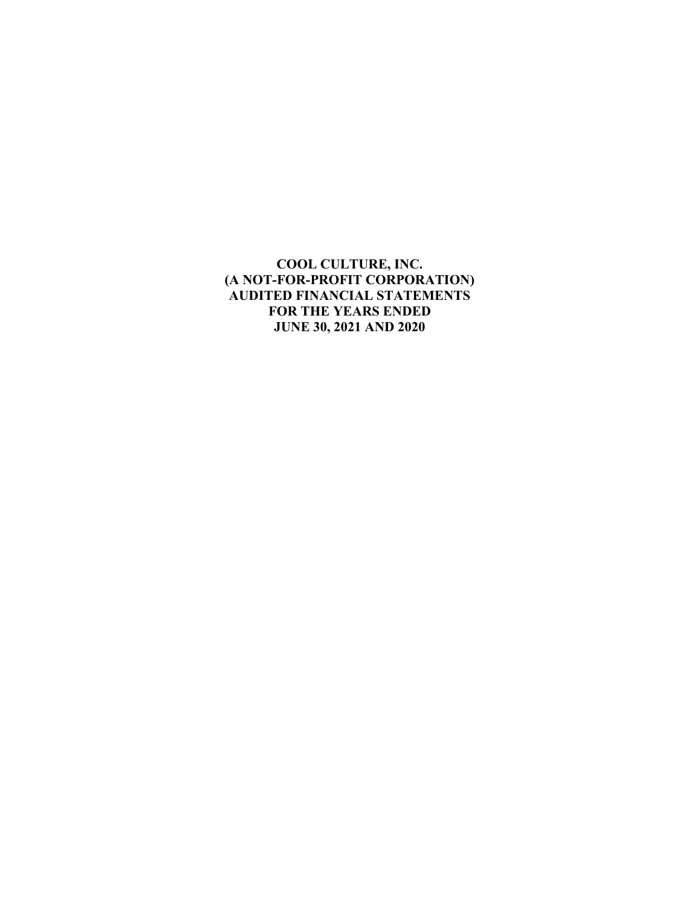**COOL CULTURE, INC. (A NOT-FOR-PROFIT CORPORATION) AUDITED FINANCIAL STATEMENTS FOR THE YEARS ENDED JUNE 30, 2021 AND 2020**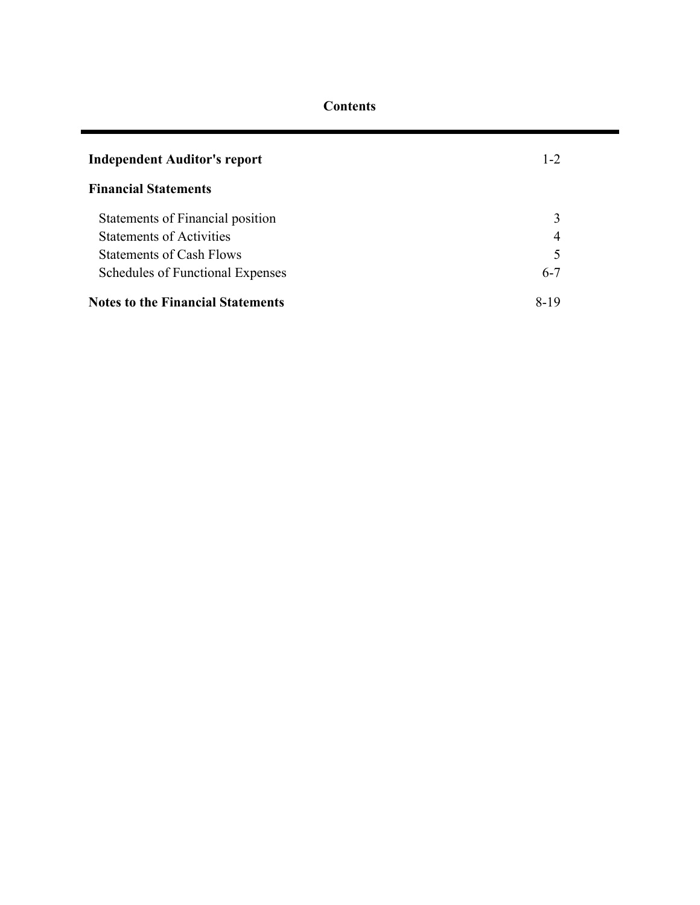| Contents |  |  |
|----------|--|--|
|          |  |  |

| <b>Independent Auditor's report</b>      | $1 - 2$ |
|------------------------------------------|---------|
| <b>Financial Statements</b>              |         |
| Statements of Financial position         | 3       |
| <b>Statements of Activities</b>          | 4       |
| <b>Statements of Cash Flows</b>          | 5       |
| Schedules of Functional Expenses         | $6 - 7$ |
| <b>Notes to the Financial Statements</b> | 8-19    |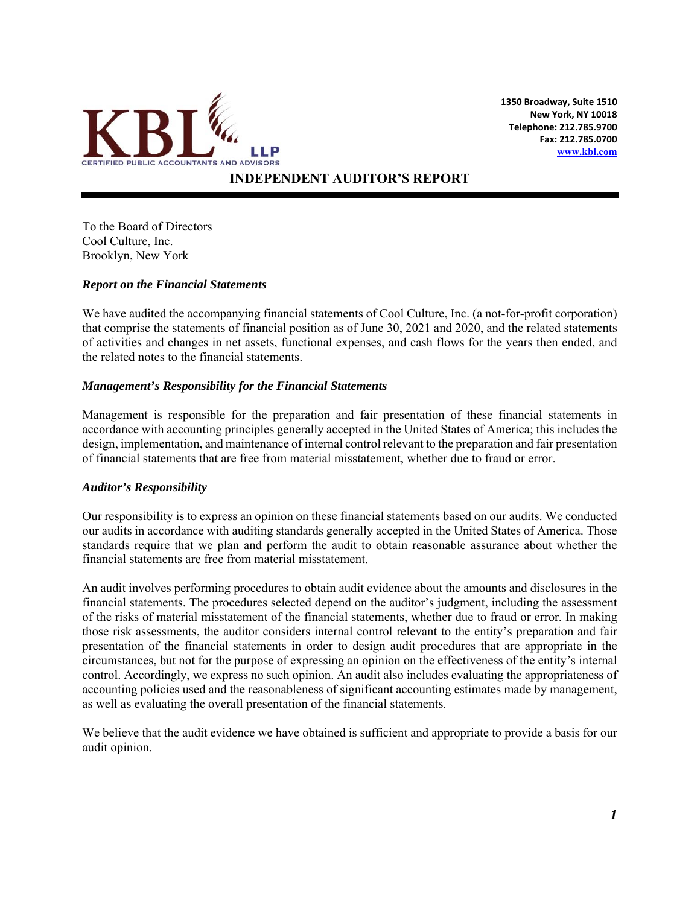

**1350 Broadway, Suite 1510 New York, NY 10018 Telephone: 212.785.9700 Fax: 212.785.0700 www.kbl.com**

#### **INDEPENDENT AUDITOR'S REPORT**

To the Board of Directors Cool Culture, Inc. Brooklyn, New York

#### *Report on the Financial Statements*

We have audited the accompanying financial statements of Cool Culture, Inc. (a not-for-profit corporation) that comprise the statements of financial position as of June 30, 2021 and 2020, and the related statements of activities and changes in net assets, functional expenses, and cash flows for the years then ended, and the related notes to the financial statements.

#### *Management's Responsibility for the Financial Statements*

Management is responsible for the preparation and fair presentation of these financial statements in accordance with accounting principles generally accepted in the United States of America; this includes the design, implementation, and maintenance of internal control relevant to the preparation and fair presentation of financial statements that are free from material misstatement, whether due to fraud or error.

#### *Auditor's Responsibility*

Our responsibility is to express an opinion on these financial statements based on our audits. We conducted our audits in accordance with auditing standards generally accepted in the United States of America. Those standards require that we plan and perform the audit to obtain reasonable assurance about whether the financial statements are free from material misstatement.

An audit involves performing procedures to obtain audit evidence about the amounts and disclosures in the financial statements. The procedures selected depend on the auditor's judgment, including the assessment of the risks of material misstatement of the financial statements, whether due to fraud or error. In making those risk assessments, the auditor considers internal control relevant to the entity's preparation and fair presentation of the financial statements in order to design audit procedures that are appropriate in the circumstances, but not for the purpose of expressing an opinion on the effectiveness of the entity's internal control. Accordingly, we express no such opinion. An audit also includes evaluating the appropriateness of accounting policies used and the reasonableness of significant accounting estimates made by management, as well as evaluating the overall presentation of the financial statements.

We believe that the audit evidence we have obtained is sufficient and appropriate to provide a basis for our audit opinion.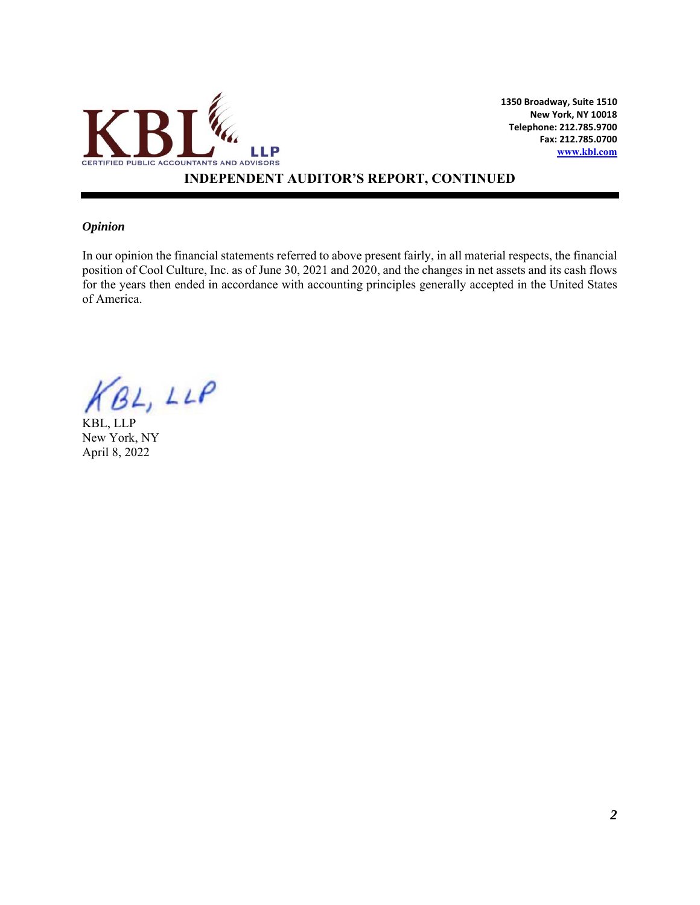

**1350 Broadway, Suite 1510 New York, NY 10018 Telephone: 212.785.9700 Fax: 212.785.0700 www.kbl.com**

**INDEPENDENT AUDITOR'S REPORT, CONTINUED** 

#### *Opinion*

In our opinion the financial statements referred to above present fairly, in all material respects, the financial position of Cool Culture, Inc. as of June 30, 2021 and 2020, and the changes in net assets and its cash flows for the years then ended in accordance with accounting principles generally accepted in the United States of America.

 $BL, LLP$ 

KBL, LLP New York, NY April 8, 2022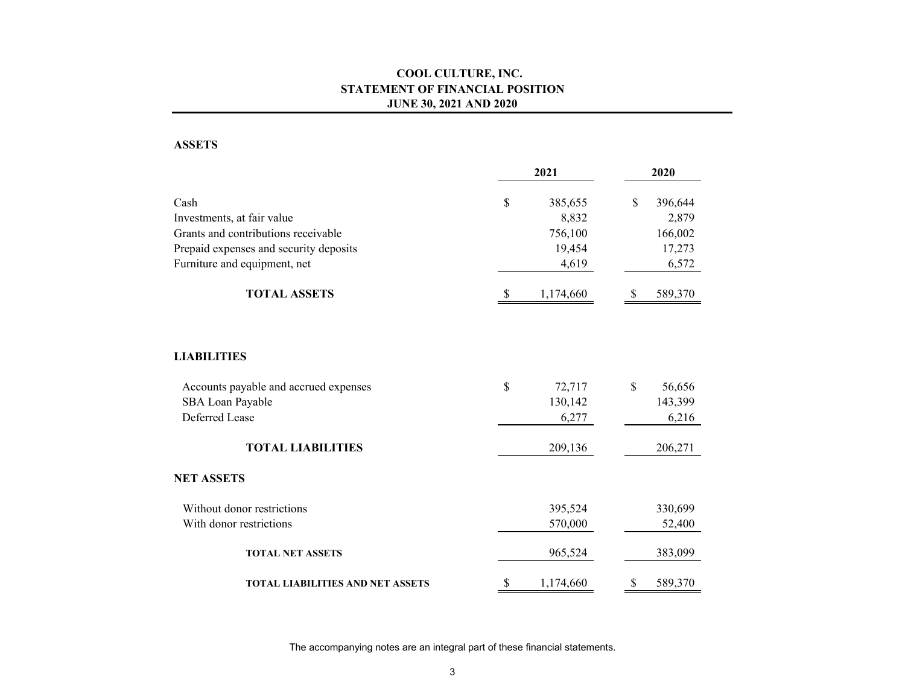#### **COOL CULTURE, INC. STATEMENT OF FINANCIAL POSITION JUNE 30, 2021 AND 2020**

**ASSETS**

|                                         |               | 2021      | 2020 |         |  |
|-----------------------------------------|---------------|-----------|------|---------|--|
| Cash                                    | $\mathcal{S}$ | 385,655   | \$   | 396,644 |  |
| Investments, at fair value              |               | 8,832     |      | 2,879   |  |
| Grants and contributions receivable     |               | 756,100   |      | 166,002 |  |
| Prepaid expenses and security deposits  |               | 19,454    |      | 17,273  |  |
| Furniture and equipment, net            |               | 4,619     |      | 6,572   |  |
| <b>TOTAL ASSETS</b>                     | S             | 1,174,660 |      | 589,370 |  |
|                                         |               |           |      |         |  |
| <b>LIABILITIES</b>                      |               |           |      |         |  |
| Accounts payable and accrued expenses   | $\mathbb{S}$  | 72,717    | \$   | 56,656  |  |
| SBA Loan Payable                        |               | 130,142   |      | 143,399 |  |
| Deferred Lease                          |               | 6,277     |      | 6,216   |  |
| <b>TOTAL LIABILITIES</b>                |               | 209,136   |      | 206,271 |  |
| <b>NET ASSETS</b>                       |               |           |      |         |  |
| Without donor restrictions              |               | 395,524   |      | 330,699 |  |
| With donor restrictions                 |               | 570,000   |      | 52,400  |  |
| <b>TOTAL NET ASSETS</b>                 |               | 965,524   |      | 383,099 |  |
| <b>TOTAL LIABILITIES AND NET ASSETS</b> | \$            | 1,174,660 | \$   | 589,370 |  |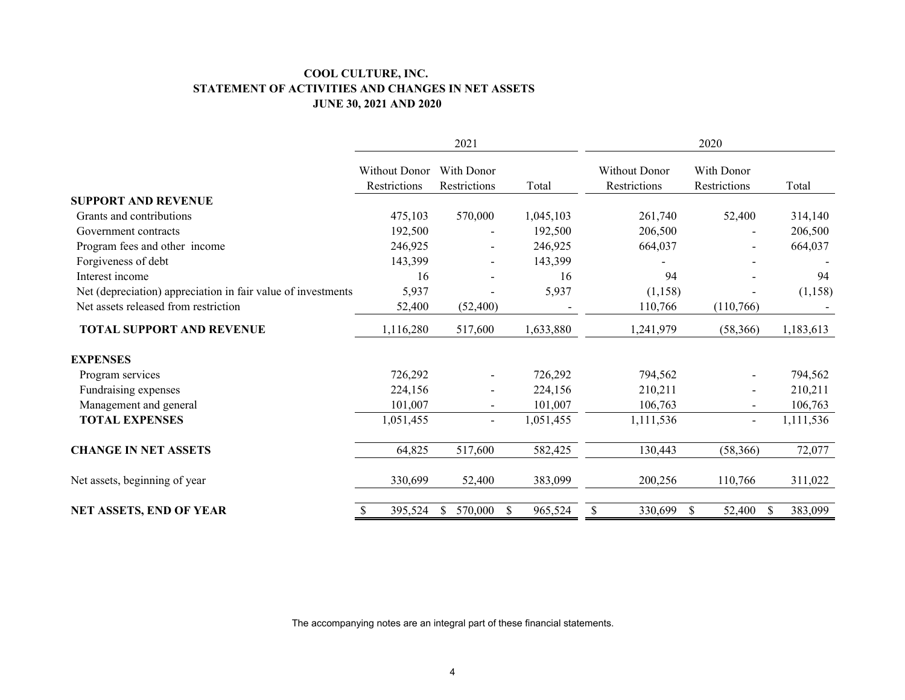#### **COOL CULTURE, INC. STATEMENT OF ACTIVITIES AND CHANGES IN NET ASSETS JUNE 30, 2021 AND 2020**

|                                                              |                               | 2021                       |               | 2020                          |                            |                          |  |
|--------------------------------------------------------------|-------------------------------|----------------------------|---------------|-------------------------------|----------------------------|--------------------------|--|
|                                                              | Without Donor<br>Restrictions | With Donor<br>Restrictions | Total         | Without Donor<br>Restrictions | With Donor<br>Restrictions | Total                    |  |
| <b>SUPPORT AND REVENUE</b>                                   |                               |                            |               |                               |                            |                          |  |
| Grants and contributions                                     | 475,103                       | 570,000                    | 1,045,103     | 261,740                       | 52,400                     | 314,140                  |  |
| Government contracts                                         | 192,500                       |                            | 192,500       | 206,500                       |                            | 206,500                  |  |
| Program fees and other income                                | 246,925                       |                            | 246,925       | 664,037                       |                            | 664,037                  |  |
| Forgiveness of debt                                          | 143,399                       | $\blacksquare$             | 143,399       |                               |                            |                          |  |
| Interest income                                              | 16                            |                            | 16            | 94                            |                            | 94                       |  |
| Net (depreciation) appreciation in fair value of investments | 5,937                         |                            | 5,937         | (1, 158)                      |                            | (1,158)                  |  |
| Net assets released from restriction                         | 52,400                        | (52,400)                   |               | 110,766                       | (110,766)                  |                          |  |
| <b>TOTAL SUPPORT AND REVENUE</b>                             | 1,116,280                     | 517,600                    | 1,633,880     | 1,241,979                     | (58, 366)                  | 1,183,613                |  |
| <b>EXPENSES</b>                                              |                               |                            |               |                               |                            |                          |  |
| Program services                                             | 726,292                       |                            | 726,292       | 794,562                       |                            | 794,562                  |  |
| Fundraising expenses                                         | 224,156                       |                            | 224,156       | 210,211                       |                            | 210,211                  |  |
| Management and general                                       | 101,007                       | $\blacksquare$             | 101,007       | 106,763                       |                            | 106,763                  |  |
| <b>TOTAL EXPENSES</b>                                        | 1,051,455                     | $\overline{\phantom{a}}$   | 1,051,455     | 1,111,536                     | $\overline{\phantom{0}}$   | 1,111,536                |  |
| <b>CHANGE IN NET ASSETS</b>                                  | 64,825                        | 517,600                    | 582,425       | 130,443                       | (58, 366)                  | 72,077                   |  |
| Net assets, beginning of year                                | 330,699                       | 52,400                     | 383,099       | 200,256                       | 110,766                    | 311,022                  |  |
| NET ASSETS, END OF YEAR                                      | 395,524<br>S                  | 570,000<br><sup>S</sup>    | 965,524<br>\$ | 330,699<br>\$                 | $\mathcal{S}$<br>52,400    | 383,099<br><sup>\$</sup> |  |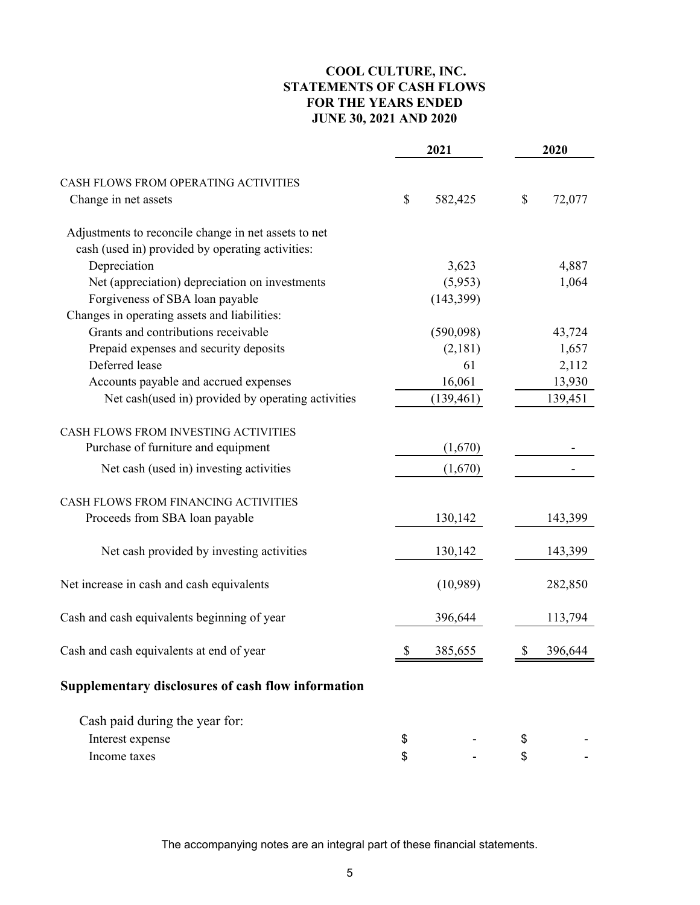## **COOL CULTURE, INC. STATEMENTS OF CASH FLOWS FOR THE YEARS ENDED JUNE 30, 2021 AND 2020**

|                                                      | 2021          | 2020          |
|------------------------------------------------------|---------------|---------------|
| CASH FLOWS FROM OPERATING ACTIVITIES                 |               |               |
| Change in net assets                                 | \$<br>582,425 | \$<br>72,077  |
| Adjustments to reconcile change in net assets to net |               |               |
| cash (used in) provided by operating activities:     |               |               |
| Depreciation                                         | 3,623         | 4,887         |
| Net (appreciation) depreciation on investments       | (5,953)       | 1,064         |
| Forgiveness of SBA loan payable                      | (143,399)     |               |
| Changes in operating assets and liabilities:         |               |               |
| Grants and contributions receivable                  | (590,098)     | 43,724        |
| Prepaid expenses and security deposits               | (2,181)       | 1,657         |
| Deferred lease                                       | 61            | 2,112         |
| Accounts payable and accrued expenses                | 16,061        | 13,930        |
| Net cash(used in) provided by operating activities   | (139, 461)    | 139,451       |
| CASH FLOWS FROM INVESTING ACTIVITIES                 |               |               |
| Purchase of furniture and equipment                  | (1,670)       |               |
| Net cash (used in) investing activities              | (1,670)       |               |
| CASH FLOWS FROM FINANCING ACTIVITIES                 |               |               |
| Proceeds from SBA loan payable                       | 130,142       | 143,399       |
| Net cash provided by investing activities            | 130,142       | 143,399       |
| Net increase in cash and cash equivalents            | (10,989)      | 282,850       |
| Cash and cash equivalents beginning of year          | 396,644       | 113,794       |
| Cash and cash equivalents at end of year             | \$<br>385,655 | \$<br>396,644 |
| Supplementary disclosures of cash flow information   |               |               |
| Cash paid during the year for:                       |               |               |
| Interest expense                                     | \$            | \$            |
| Income taxes                                         | \$            | \$            |
|                                                      |               |               |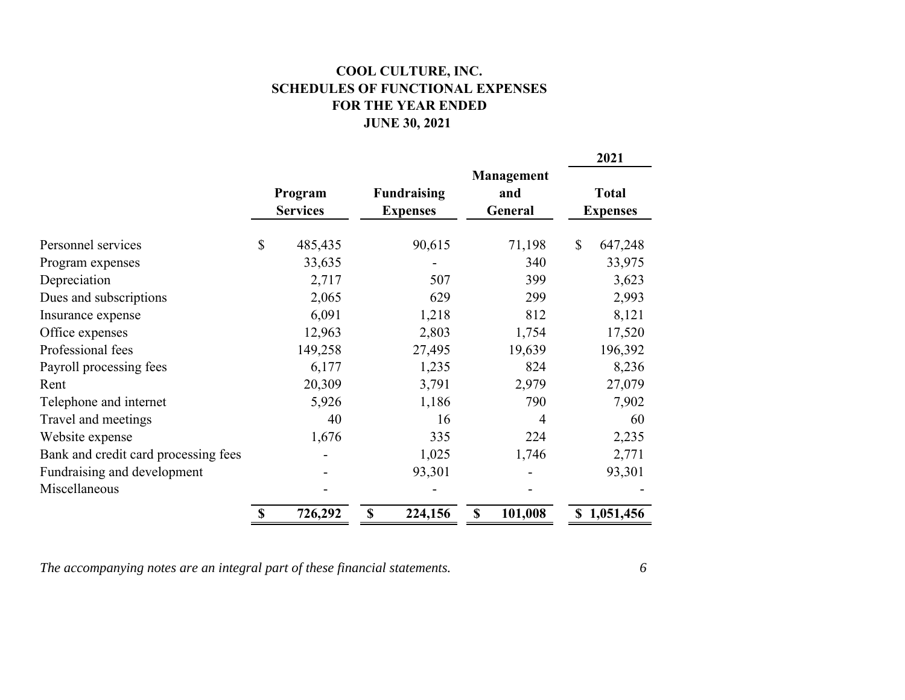# **COOL CULTURE, INC. SCHEDULES OF FUNCTIONAL EXPENSES FOR THE YEAR ENDED JUNE 30, 2021**

|                                      |                            |         |                                       |                                     |         |                                 | 2021        |
|--------------------------------------|----------------------------|---------|---------------------------------------|-------------------------------------|---------|---------------------------------|-------------|
|                                      | Program<br><b>Services</b> |         | <b>Fundraising</b><br><b>Expenses</b> | <b>Management</b><br>and<br>General |         | <b>Total</b><br><b>Expenses</b> |             |
| Personnel services                   | \$                         | 485,435 | 90,615                                |                                     | 71,198  | \$                              | 647,248     |
| Program expenses                     |                            | 33,635  |                                       |                                     | 340     |                                 | 33,975      |
| Depreciation                         |                            | 2,717   | 507                                   |                                     | 399     |                                 | 3,623       |
| Dues and subscriptions               |                            | 2,065   | 629                                   |                                     | 299     |                                 | 2,993       |
| Insurance expense                    |                            | 6,091   | 1,218                                 |                                     | 812     |                                 | 8,121       |
| Office expenses                      |                            | 12,963  | 2,803                                 |                                     | 1,754   |                                 | 17,520      |
| Professional fees                    |                            | 149,258 | 27,495                                |                                     | 19,639  |                                 | 196,392     |
| Payroll processing fees              |                            | 6,177   | 1,235                                 |                                     | 824     |                                 | 8,236       |
| Rent                                 |                            | 20,309  | 3,791                                 |                                     | 2,979   |                                 | 27,079      |
| Telephone and internet               |                            | 5,926   | 1,186                                 |                                     | 790     |                                 | 7,902       |
| Travel and meetings                  |                            | 40      | 16                                    |                                     | 4       |                                 | 60          |
| Website expense                      |                            | 1,676   | 335                                   |                                     | 224     |                                 | 2,235       |
| Bank and credit card processing fees |                            |         | 1,025                                 |                                     | 1,746   |                                 | 2,771       |
| Fundraising and development          |                            |         | 93,301                                |                                     |         |                                 | 93,301      |
| Miscellaneous                        |                            |         |                                       |                                     |         |                                 |             |
|                                      | $\boldsymbol{\mathsf{S}}$  | 726,292 | \$<br>224,156                         | \$                                  | 101,008 |                                 | \$1,051,456 |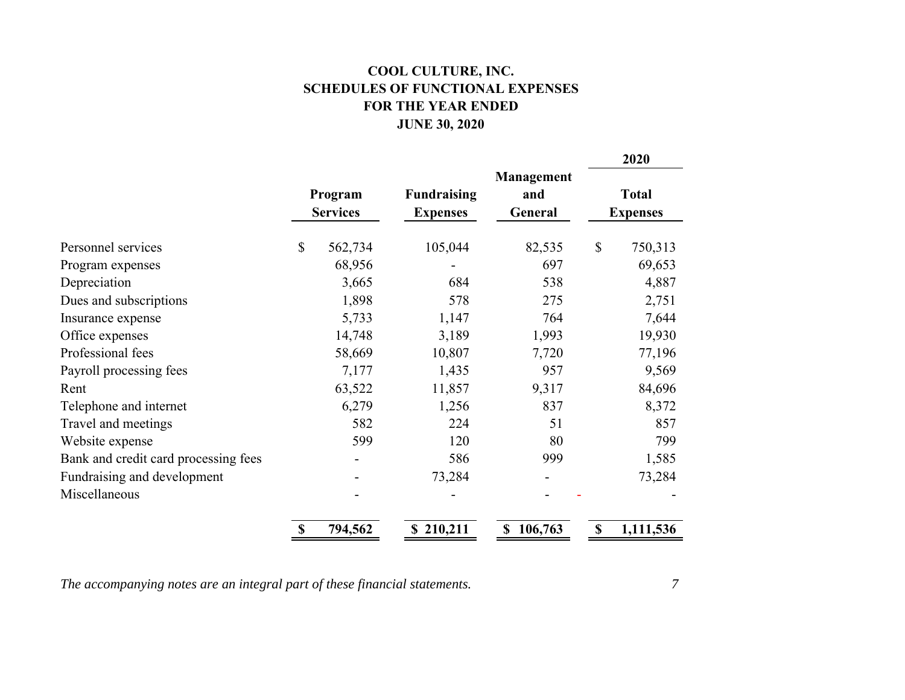# **COOL CULTURE, INC. SCHEDULES OF FUNCTIONAL EXPENSES FOR THE YEAR ENDEDJUNE 30, 2020**

|                                      |                            |         |                                       |                                     |                                 | 2020      |
|--------------------------------------|----------------------------|---------|---------------------------------------|-------------------------------------|---------------------------------|-----------|
|                                      | Program<br><b>Services</b> |         | <b>Fundraising</b><br><b>Expenses</b> | <b>Management</b><br>and<br>General | <b>Total</b><br><b>Expenses</b> |           |
| Personnel services                   | $\mathcal{S}$              | 562,734 | 105,044                               | 82,535                              | $\boldsymbol{\mathsf{S}}$       | 750,313   |
| Program expenses                     |                            | 68,956  |                                       | 697                                 |                                 | 69,653    |
| Depreciation                         |                            | 3,665   | 684                                   | 538                                 |                                 | 4,887     |
| Dues and subscriptions               |                            | 1,898   | 578                                   | 275                                 |                                 | 2,751     |
| Insurance expense                    |                            | 5,733   | 1,147                                 | 764                                 |                                 | 7,644     |
| Office expenses                      |                            | 14,748  | 3,189                                 | 1,993                               |                                 | 19,930    |
| Professional fees                    |                            | 58,669  | 10,807                                | 7,720                               |                                 | 77,196    |
| Payroll processing fees              |                            | 7,177   | 1,435                                 | 957                                 |                                 | 9,569     |
| Rent                                 |                            | 63,522  | 11,857                                | 9,317                               |                                 | 84,696    |
| Telephone and internet               |                            | 6,279   | 1,256                                 | 837                                 |                                 | 8,372     |
| Travel and meetings                  |                            | 582     | 224                                   | 51                                  |                                 | 857       |
| Website expense                      |                            | 599     | 120                                   | 80                                  |                                 | 799       |
| Bank and credit card processing fees |                            |         | 586                                   | 999                                 |                                 | 1,585     |
| Fundraising and development          |                            |         | 73,284                                |                                     |                                 | 73,284    |
| Miscellaneous                        |                            |         |                                       |                                     |                                 |           |
|                                      | \$                         | 794,562 | \$210,211                             | \$<br>106,763                       | $\mathbb S$                     | 1,111,536 |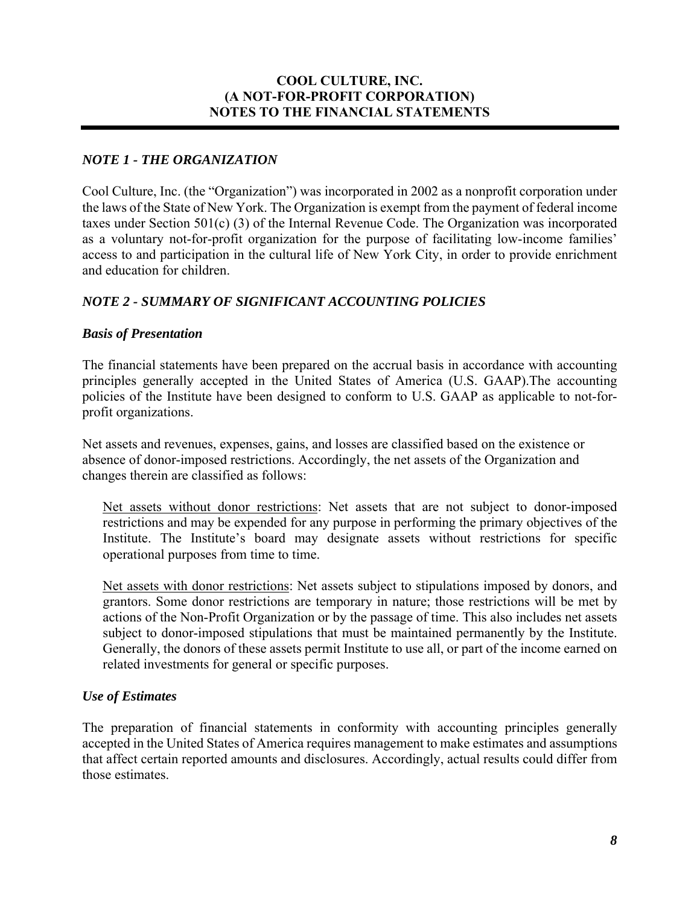# *NOTE 1 - THE ORGANIZATION*

Cool Culture, Inc. (the "Organization") was incorporated in 2002 as a nonprofit corporation under the laws of the State of New York. The Organization is exempt from the payment of federal income taxes under Section 501(c) (3) of the Internal Revenue Code. The Organization was incorporated as a voluntary not-for-profit organization for the purpose of facilitating low-income families' access to and participation in the cultural life of New York City, in order to provide enrichment and education for children.

## *NOTE 2 - SUMMARY OF SIGNIFICANT ACCOUNTING POLICIES*

## *Basis of Presentation*

The financial statements have been prepared on the accrual basis in accordance with accounting principles generally accepted in the United States of America (U.S. GAAP).The accounting policies of the Institute have been designed to conform to U.S. GAAP as applicable to not-forprofit organizations.

Net assets and revenues, expenses, gains, and losses are classified based on the existence or absence of donor-imposed restrictions. Accordingly, the net assets of the Organization and changes therein are classified as follows:

Net assets without donor restrictions: Net assets that are not subject to donor-imposed restrictions and may be expended for any purpose in performing the primary objectives of the Institute. The Institute's board may designate assets without restrictions for specific operational purposes from time to time.

Net assets with donor restrictions: Net assets subject to stipulations imposed by donors, and grantors. Some donor restrictions are temporary in nature; those restrictions will be met by actions of the Non-Profit Organization or by the passage of time. This also includes net assets subject to donor-imposed stipulations that must be maintained permanently by the Institute. Generally, the donors of these assets permit Institute to use all, or part of the income earned on related investments for general or specific purposes.

## *Use of Estimates*

The preparation of financial statements in conformity with accounting principles generally accepted in the United States of America requires management to make estimates and assumptions that affect certain reported amounts and disclosures. Accordingly, actual results could differ from those estimates.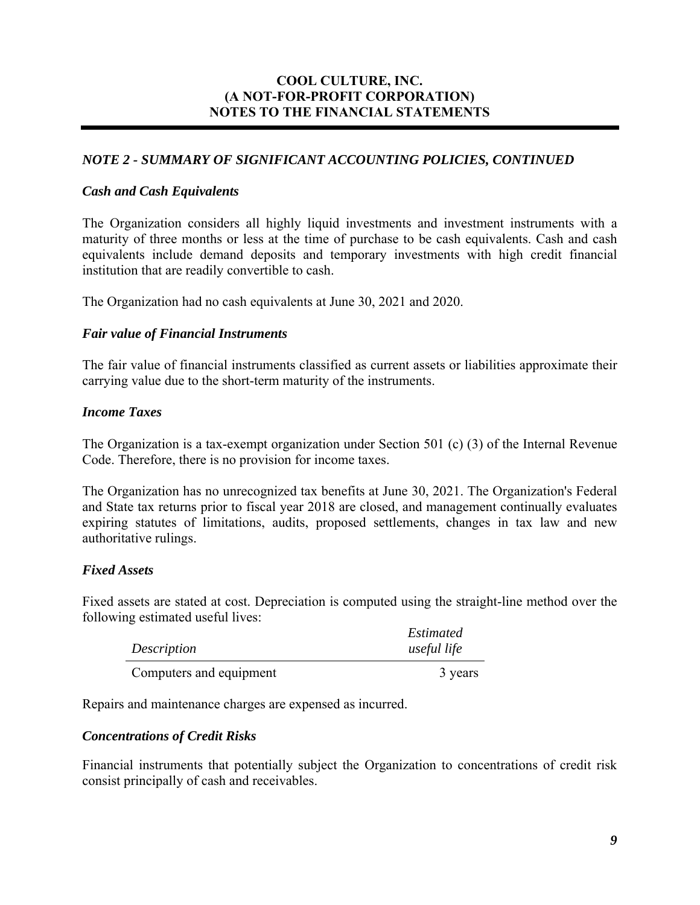## *NOTE 2 - SUMMARY OF SIGNIFICANT ACCOUNTING POLICIES, CONTINUED*

#### *Cash and Cash Equivalents*

The Organization considers all highly liquid investments and investment instruments with a maturity of three months or less at the time of purchase to be cash equivalents. Cash and cash equivalents include demand deposits and temporary investments with high credit financial institution that are readily convertible to cash.

The Organization had no cash equivalents at June 30, 2021 and 2020.

#### *Fair value of Financial Instruments*

The fair value of financial instruments classified as current assets or liabilities approximate their carrying value due to the short-term maturity of the instruments.

#### *Income Taxes*

The Organization is a tax-exempt organization under Section 501 (c) (3) of the Internal Revenue Code. Therefore, there is no provision for income taxes.

The Organization has no unrecognized tax benefits at June 30, 2021. The Organization's Federal and State tax returns prior to fiscal year 2018 are closed, and management continually evaluates expiring statutes of limitations, audits, proposed settlements, changes in tax law and new authoritative rulings.

#### *Fixed Assets*

Fixed assets are stated at cost. Depreciation is computed using the straight-line method over the following estimated useful lives:

|                         | <i>Estimated</i> |
|-------------------------|------------------|
| Description             | useful life      |
| Computers and equipment | 3 years          |

Repairs and maintenance charges are expensed as incurred.

#### *Concentrations of Credit Risks*

Financial instruments that potentially subject the Organization to concentrations of credit risk consist principally of cash and receivables.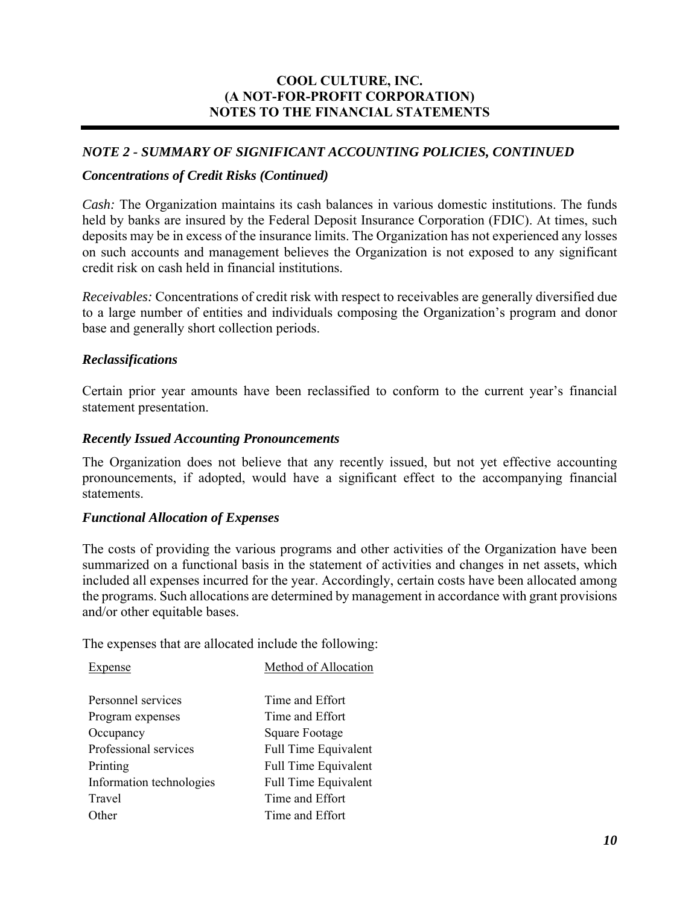### *NOTE 2 - SUMMARY OF SIGNIFICANT ACCOUNTING POLICIES, CONTINUED*

#### *Concentrations of Credit Risks (Continued)*

*Cash:* The Organization maintains its cash balances in various domestic institutions. The funds held by banks are insured by the Federal Deposit Insurance Corporation (FDIC). At times, such deposits may be in excess of the insurance limits. The Organization has not experienced any losses on such accounts and management believes the Organization is not exposed to any significant credit risk on cash held in financial institutions.

*Receivables:* Concentrations of credit risk with respect to receivables are generally diversified due to a large number of entities and individuals composing the Organization's program and donor base and generally short collection periods.

#### *Reclassifications*

Certain prior year amounts have been reclassified to conform to the current year's financial statement presentation.

#### *Recently Issued Accounting Pronouncements*

The Organization does not believe that any recently issued, but not yet effective accounting pronouncements, if adopted, would have a significant effect to the accompanying financial statements.

#### *Functional Allocation of Expenses*

The costs of providing the various programs and other activities of the Organization have been summarized on a functional basis in the statement of activities and changes in net assets, which included all expenses incurred for the year. Accordingly, certain costs have been allocated among the programs. Such allocations are determined by management in accordance with grant provisions and/or other equitable bases.

The expenses that are allocated include the following:

| xpense                   | Method of Allocation        |
|--------------------------|-----------------------------|
|                          |                             |
| Personnel services       | Time and Effort             |
| Program expenses         | Time and Effort             |
| Occupancy                | <b>Square Footage</b>       |
| Professional services    | <b>Full Time Equivalent</b> |
| Printing                 | Full Time Equivalent        |
| Information technologies | <b>Full Time Equivalent</b> |
| Travel                   | Time and Effort             |
| Other                    | Time and Effort             |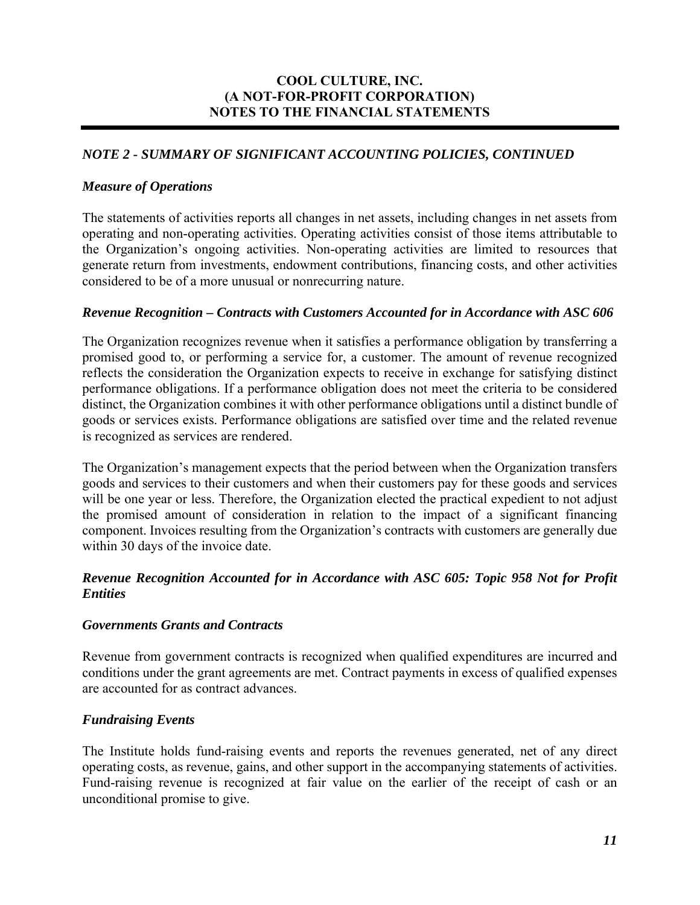## *NOTE 2 - SUMMARY OF SIGNIFICANT ACCOUNTING POLICIES, CONTINUED*

### *Measure of Operations*

The statements of activities reports all changes in net assets, including changes in net assets from operating and non-operating activities. Operating activities consist of those items attributable to the Organization's ongoing activities. Non-operating activities are limited to resources that generate return from investments, endowment contributions, financing costs, and other activities considered to be of a more unusual or nonrecurring nature.

### *Revenue Recognition – Contracts with Customers Accounted for in Accordance with ASC 606*

The Organization recognizes revenue when it satisfies a performance obligation by transferring a promised good to, or performing a service for, a customer. The amount of revenue recognized reflects the consideration the Organization expects to receive in exchange for satisfying distinct performance obligations. If a performance obligation does not meet the criteria to be considered distinct, the Organization combines it with other performance obligations until a distinct bundle of goods or services exists. Performance obligations are satisfied over time and the related revenue is recognized as services are rendered.

The Organization's management expects that the period between when the Organization transfers goods and services to their customers and when their customers pay for these goods and services will be one year or less. Therefore, the Organization elected the practical expedient to not adjust the promised amount of consideration in relation to the impact of a significant financing component. Invoices resulting from the Organization's contracts with customers are generally due within 30 days of the invoice date.

## *Revenue Recognition Accounted for in Accordance with ASC 605: Topic 958 Not for Profit Entities*

#### *Governments Grants and Contracts*

Revenue from government contracts is recognized when qualified expenditures are incurred and conditions under the grant agreements are met. Contract payments in excess of qualified expenses are accounted for as contract advances.

#### *Fundraising Events*

The Institute holds fund-raising events and reports the revenues generated, net of any direct operating costs, as revenue, gains, and other support in the accompanying statements of activities. Fund-raising revenue is recognized at fair value on the earlier of the receipt of cash or an unconditional promise to give.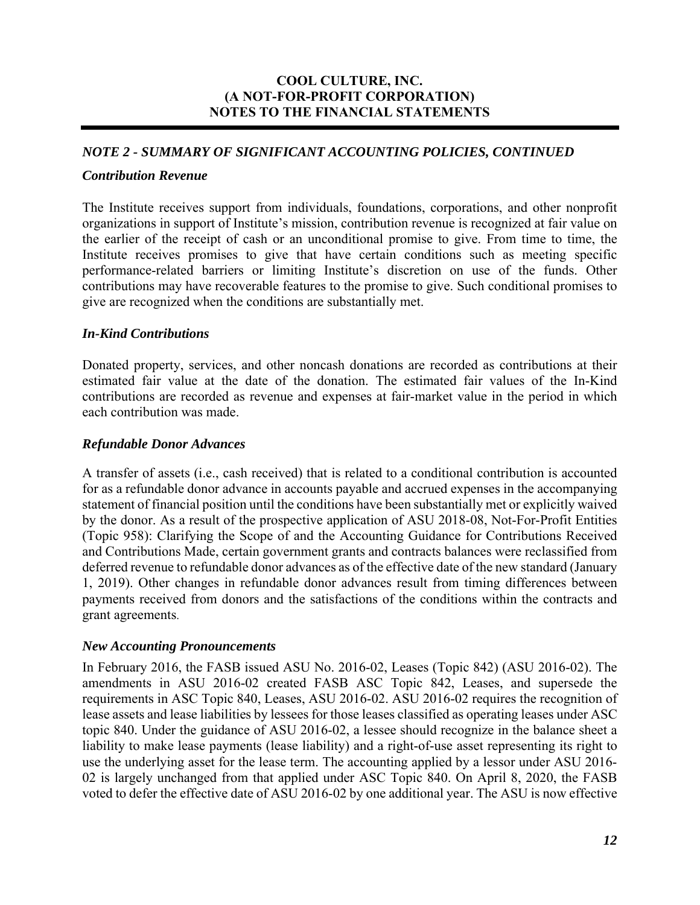### *NOTE 2 - SUMMARY OF SIGNIFICANT ACCOUNTING POLICIES, CONTINUED*

#### *Contribution Revenue*

The Institute receives support from individuals, foundations, corporations, and other nonprofit organizations in support of Institute's mission, contribution revenue is recognized at fair value on the earlier of the receipt of cash or an unconditional promise to give. From time to time, the Institute receives promises to give that have certain conditions such as meeting specific performance-related barriers or limiting Institute's discretion on use of the funds. Other contributions may have recoverable features to the promise to give. Such conditional promises to give are recognized when the conditions are substantially met.

#### *In-Kind Contributions*

Donated property, services, and other noncash donations are recorded as contributions at their estimated fair value at the date of the donation. The estimated fair values of the In-Kind contributions are recorded as revenue and expenses at fair-market value in the period in which each contribution was made.

#### *Refundable Donor Advances*

A transfer of assets (i.e., cash received) that is related to a conditional contribution is accounted for as a refundable donor advance in accounts payable and accrued expenses in the accompanying statement of financial position until the conditions have been substantially met or explicitly waived by the donor. As a result of the prospective application of ASU 2018-08, Not-For-Profit Entities (Topic 958): Clarifying the Scope of and the Accounting Guidance for Contributions Received and Contributions Made, certain government grants and contracts balances were reclassified from deferred revenue to refundable donor advances as of the effective date of the new standard (January 1, 2019). Other changes in refundable donor advances result from timing differences between payments received from donors and the satisfactions of the conditions within the contracts and grant agreements.

#### *New Accounting Pronouncements*

In February 2016, the FASB issued ASU No. 2016-02, Leases (Topic 842) (ASU 2016-02). The amendments in ASU 2016-02 created FASB ASC Topic 842, Leases, and supersede the requirements in ASC Topic 840, Leases, ASU 2016-02. ASU 2016-02 requires the recognition of lease assets and lease liabilities by lessees for those leases classified as operating leases under ASC topic 840. Under the guidance of ASU 2016-02, a lessee should recognize in the balance sheet a liability to make lease payments (lease liability) and a right-of-use asset representing its right to use the underlying asset for the lease term. The accounting applied by a lessor under ASU 2016- 02 is largely unchanged from that applied under ASC Topic 840. On April 8, 2020, the FASB voted to defer the effective date of ASU 2016-02 by one additional year. The ASU is now effective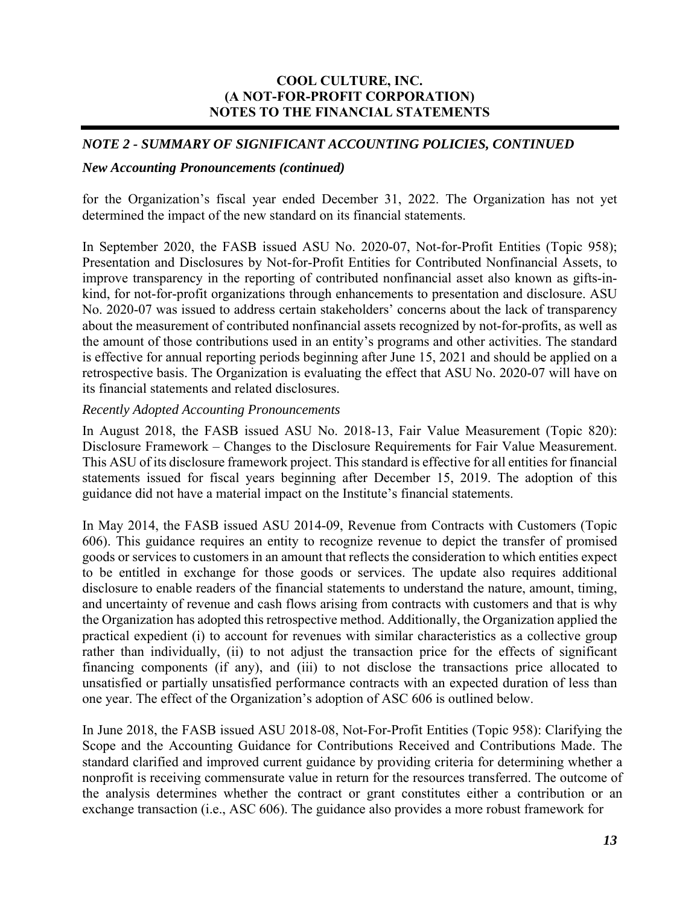## *NOTE 2 - SUMMARY OF SIGNIFICANT ACCOUNTING POLICIES, CONTINUED*

#### *New Accounting Pronouncements (continued)*

for the Organization's fiscal year ended December 31, 2022. The Organization has not yet determined the impact of the new standard on its financial statements.

In September 2020, the FASB issued ASU No. 2020-07, Not-for-Profit Entities (Topic 958); Presentation and Disclosures by Not-for-Profit Entities for Contributed Nonfinancial Assets, to improve transparency in the reporting of contributed nonfinancial asset also known as gifts-inkind, for not-for-profit organizations through enhancements to presentation and disclosure. ASU No. 2020-07 was issued to address certain stakeholders' concerns about the lack of transparency about the measurement of contributed nonfinancial assets recognized by not-for-profits, as well as the amount of those contributions used in an entity's programs and other activities. The standard is effective for annual reporting periods beginning after June 15, 2021 and should be applied on a retrospective basis. The Organization is evaluating the effect that ASU No. 2020-07 will have on its financial statements and related disclosures.

#### *Recently Adopted Accounting Pronouncements*

In August 2018, the FASB issued ASU No. 2018-13, Fair Value Measurement (Topic 820): Disclosure Framework – Changes to the Disclosure Requirements for Fair Value Measurement. This ASU of its disclosure framework project. This standard is effective for all entities for financial statements issued for fiscal years beginning after December 15, 2019. The adoption of this guidance did not have a material impact on the Institute's financial statements.

In May 2014, the FASB issued ASU 2014-09, Revenue from Contracts with Customers (Topic 606). This guidance requires an entity to recognize revenue to depict the transfer of promised goods or services to customers in an amount that reflects the consideration to which entities expect to be entitled in exchange for those goods or services. The update also requires additional disclosure to enable readers of the financial statements to understand the nature, amount, timing, and uncertainty of revenue and cash flows arising from contracts with customers and that is why the Organization has adopted this retrospective method. Additionally, the Organization applied the practical expedient (i) to account for revenues with similar characteristics as a collective group rather than individually, (ii) to not adjust the transaction price for the effects of significant financing components (if any), and (iii) to not disclose the transactions price allocated to unsatisfied or partially unsatisfied performance contracts with an expected duration of less than one year. The effect of the Organization's adoption of ASC 606 is outlined below.

In June 2018, the FASB issued ASU 2018-08, Not-For-Profit Entities (Topic 958): Clarifying the Scope and the Accounting Guidance for Contributions Received and Contributions Made. The standard clarified and improved current guidance by providing criteria for determining whether a nonprofit is receiving commensurate value in return for the resources transferred. The outcome of the analysis determines whether the contract or grant constitutes either a contribution or an exchange transaction (i.e., ASC 606). The guidance also provides a more robust framework for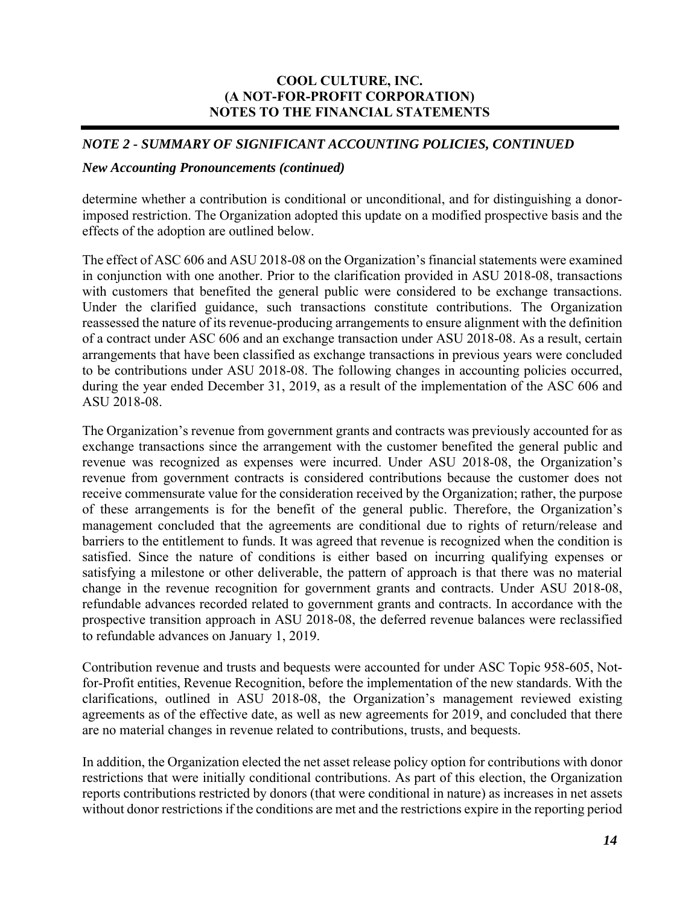## *NOTE 2 - SUMMARY OF SIGNIFICANT ACCOUNTING POLICIES, CONTINUED*

#### *New Accounting Pronouncements (continued)*

determine whether a contribution is conditional or unconditional, and for distinguishing a donorimposed restriction. The Organization adopted this update on a modified prospective basis and the effects of the adoption are outlined below.

The effect of ASC 606 and ASU 2018-08 on the Organization's financial statements were examined in conjunction with one another. Prior to the clarification provided in ASU 2018-08, transactions with customers that benefited the general public were considered to be exchange transactions. Under the clarified guidance, such transactions constitute contributions. The Organization reassessed the nature of its revenue-producing arrangements to ensure alignment with the definition of a contract under ASC 606 and an exchange transaction under ASU 2018-08. As a result, certain arrangements that have been classified as exchange transactions in previous years were concluded to be contributions under ASU 2018-08. The following changes in accounting policies occurred, during the year ended December 31, 2019, as a result of the implementation of the ASC 606 and ASU 2018-08.

The Organization's revenue from government grants and contracts was previously accounted for as exchange transactions since the arrangement with the customer benefited the general public and revenue was recognized as expenses were incurred. Under ASU 2018-08, the Organization's revenue from government contracts is considered contributions because the customer does not receive commensurate value for the consideration received by the Organization; rather, the purpose of these arrangements is for the benefit of the general public. Therefore, the Organization's management concluded that the agreements are conditional due to rights of return/release and barriers to the entitlement to funds. It was agreed that revenue is recognized when the condition is satisfied. Since the nature of conditions is either based on incurring qualifying expenses or satisfying a milestone or other deliverable, the pattern of approach is that there was no material change in the revenue recognition for government grants and contracts. Under ASU 2018-08, refundable advances recorded related to government grants and contracts. In accordance with the prospective transition approach in ASU 2018-08, the deferred revenue balances were reclassified to refundable advances on January 1, 2019.

Contribution revenue and trusts and bequests were accounted for under ASC Topic 958-605, Notfor-Profit entities, Revenue Recognition, before the implementation of the new standards. With the clarifications, outlined in ASU 2018-08, the Organization's management reviewed existing agreements as of the effective date, as well as new agreements for 2019, and concluded that there are no material changes in revenue related to contributions, trusts, and bequests.

In addition, the Organization elected the net asset release policy option for contributions with donor restrictions that were initially conditional contributions. As part of this election, the Organization reports contributions restricted by donors (that were conditional in nature) as increases in net assets without donor restrictions if the conditions are met and the restrictions expire in the reporting period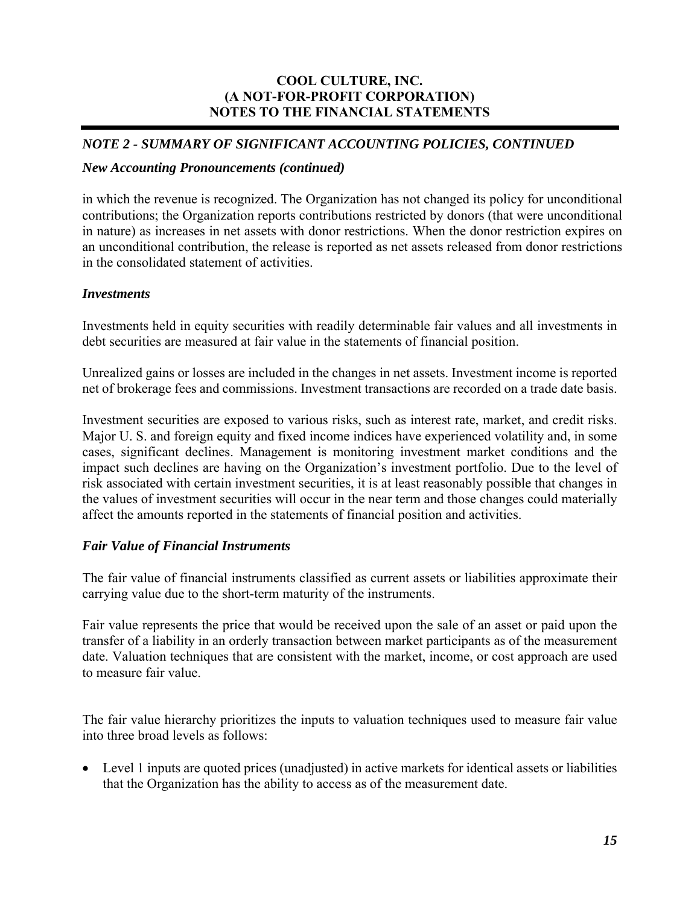# *NOTE 2 - SUMMARY OF SIGNIFICANT ACCOUNTING POLICIES, CONTINUED*

#### *New Accounting Pronouncements (continued)*

in which the revenue is recognized. The Organization has not changed its policy for unconditional contributions; the Organization reports contributions restricted by donors (that were unconditional in nature) as increases in net assets with donor restrictions. When the donor restriction expires on an unconditional contribution, the release is reported as net assets released from donor restrictions in the consolidated statement of activities.

### *Investments*

Investments held in equity securities with readily determinable fair values and all investments in debt securities are measured at fair value in the statements of financial position.

Unrealized gains or losses are included in the changes in net assets. Investment income is reported net of brokerage fees and commissions. Investment transactions are recorded on a trade date basis.

Investment securities are exposed to various risks, such as interest rate, market, and credit risks. Major U. S. and foreign equity and fixed income indices have experienced volatility and, in some cases, significant declines. Management is monitoring investment market conditions and the impact such declines are having on the Organization's investment portfolio. Due to the level of risk associated with certain investment securities, it is at least reasonably possible that changes in the values of investment securities will occur in the near term and those changes could materially affect the amounts reported in the statements of financial position and activities.

## *Fair Value of Financial Instruments*

The fair value of financial instruments classified as current assets or liabilities approximate their carrying value due to the short-term maturity of the instruments.

Fair value represents the price that would be received upon the sale of an asset or paid upon the transfer of a liability in an orderly transaction between market participants as of the measurement date. Valuation techniques that are consistent with the market, income, or cost approach are used to measure fair value.

The fair value hierarchy prioritizes the inputs to valuation techniques used to measure fair value into three broad levels as follows:

 Level 1 inputs are quoted prices (unadjusted) in active markets for identical assets or liabilities that the Organization has the ability to access as of the measurement date.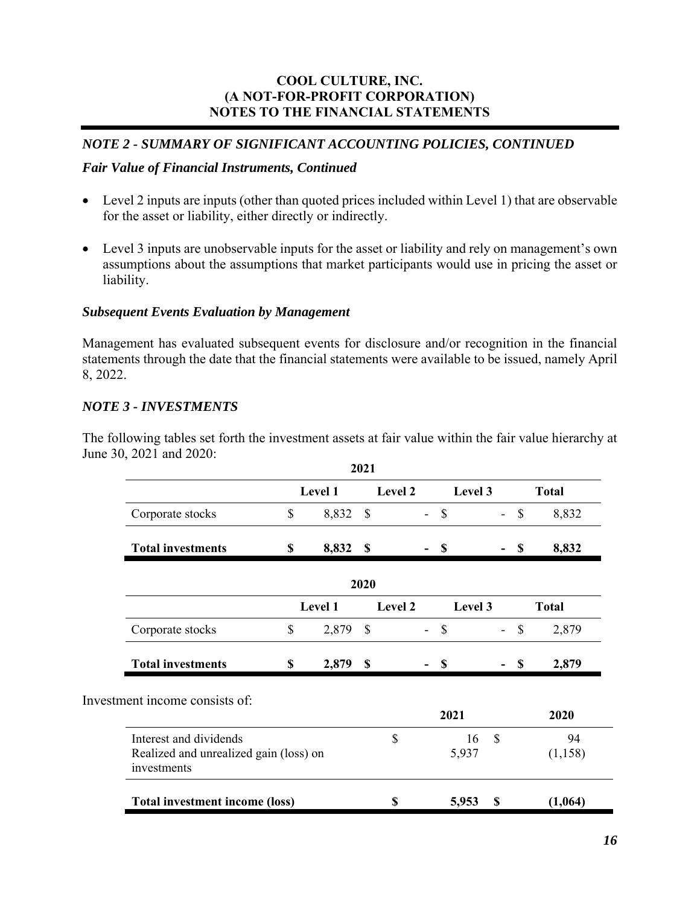## *NOTE 2 - SUMMARY OF SIGNIFICANT ACCOUNTING POLICIES, CONTINUED*

### *Fair Value of Financial Instruments, Continued*

- Level 2 inputs are inputs (other than quoted prices included within Level 1) that are observable for the asset or liability, either directly or indirectly.
- Level 3 inputs are unobservable inputs for the asset or liability and rely on management's own assumptions about the assumptions that market participants would use in pricing the asset or liability.

### *Subsequent Events Evaluation by Management*

Management has evaluated subsequent events for disclosure and/or recognition in the financial statements through the date that the financial statements were available to be issued, namely April 8, 2022.

## *NOTE 3 - INVESTMENTS*

The following tables set forth the investment assets at fair value within the fair value hierarchy at June 30, 2021 and 2020:

|                                                                                 |             | 2021                      |         |                         |                           |              |               |
|---------------------------------------------------------------------------------|-------------|---------------------------|---------|-------------------------|---------------------------|--------------|---------------|
|                                                                                 | Level 1     |                           | Level 2 | Level 3                 |                           |              | <b>Total</b>  |
| Corporate stocks                                                                | \$<br>8,832 | $\mathbb{S}$              |         | $\mathcal{S}$<br>$\sim$ | $\blacksquare$            | $\mathbb{S}$ | 8,832         |
| <b>Total investments</b>                                                        | \$<br>8,832 | $\boldsymbol{\mathsf{S}}$ |         | $\mathbf s$             |                           | \$           | 8,832         |
|                                                                                 |             | 2020                      |         |                         |                           |              |               |
|                                                                                 | Level 1     |                           | Level 2 | Level 3                 |                           |              | <b>Total</b>  |
| Corporate stocks                                                                | \$<br>2,879 | $\mathbb{S}$              |         | $\mathcal{S}$           | $\overline{\phantom{0}}$  | $\mathbb{S}$ | 2,879         |
| <b>Total investments</b>                                                        | \$<br>2,879 | \$                        |         | S                       |                           | \$           | 2,879         |
| Investment income consists of:                                                  |             |                           |         | 2021                    |                           |              | 2020          |
|                                                                                 |             |                           |         |                         |                           |              |               |
| Interest and dividends<br>Realized and unrealized gain (loss) on<br>investments |             |                           | \$      | 16<br>5,937             | $\boldsymbol{\mathsf{S}}$ |              | 94<br>(1,158) |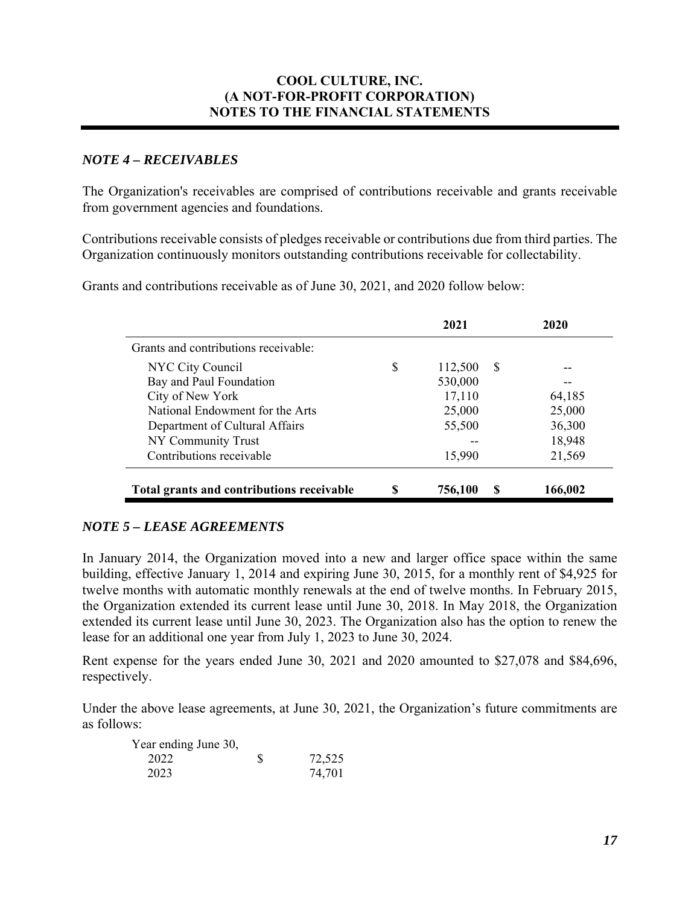## *NOTE 4 – RECEIVABLES*

The Organization's receivables are comprised of contributions receivable and grants receivable from government agencies and foundations.

Contributions receivable consists of pledges receivable or contributions due from third parties. The Organization continuously monitors outstanding contributions receivable for collectability.

Grants and contributions receivable as of June 30, 2021, and 2020 follow below:

|                                           |    | 2021    |    | 2020    |
|-------------------------------------------|----|---------|----|---------|
| Grants and contributions receivable:      |    |         |    |         |
| NYC City Council                          | \$ | 112,500 | -S |         |
| Bay and Paul Foundation                   |    | 530,000 |    |         |
| City of New York                          |    | 17,110  |    | 64,185  |
| National Endowment for the Arts           |    | 25,000  |    | 25,000  |
| Department of Cultural Affairs            |    | 55,500  |    | 36,300  |
| NY Community Trust                        |    |         |    | 18,948  |
| Contributions receivable                  |    | 15,990  |    | 21,569  |
| Total grants and contributions receivable | S  | 756,100 | -S | 166,002 |

## *NOTE 5 – LEASE AGREEMENTS*

In January 2014, the Organization moved into a new and larger office space within the same building, effective January 1, 2014 and expiring June 30, 2015, for a monthly rent of \$4,925 for twelve months with automatic monthly renewals at the end of twelve months. In February 2015, the Organization extended its current lease until June 30, 2018. In May 2018, the Organization extended its current lease until June 30, 2023. The Organization also has the option to renew the lease for an additional one year from July 1, 2023 to June 30, 2024.

Rent expense for the years ended June 30, 2021 and 2020 amounted to \$27,078 and \$84,696, respectively.

Under the above lease agreements, at June 30, 2021, the Organization's future commitments are as follows:

| Year ending June 30, |        |
|----------------------|--------|
| 2022                 | 72,525 |
| 2023                 | 74,701 |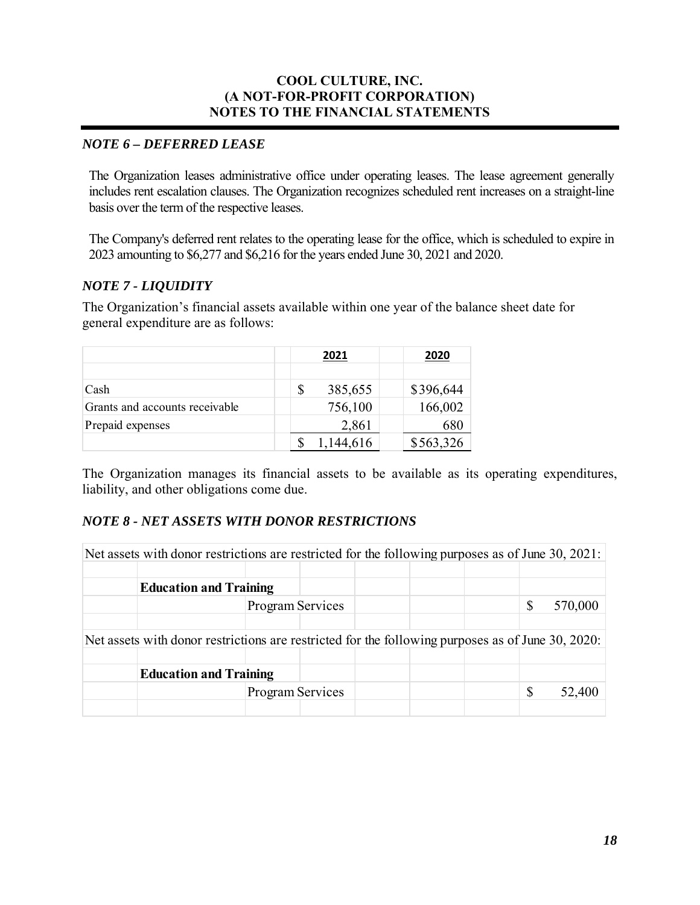## *NOTE 6 – DEFERRED LEASE*

The Organization leases administrative office under operating leases. The lease agreement generally includes rent escalation clauses. The Organization recognizes scheduled rent increases on a straight-line basis over the term of the respective leases.

The Company's deferred rent relates to the operating lease for the office, which is scheduled to expire in 2023 amounting to \$6,277 and \$6,216 for the years ended June 30, 2021 and 2020.

## *NOTE 7 - LIQUIDITY*

The Organization's financial assets available within one year of the balance sheet date for general expenditure are as follows:

|                                | 2021          | 2020      |  |
|--------------------------------|---------------|-----------|--|
|                                |               |           |  |
| Cash                           | 385,655<br>\$ | \$396,644 |  |
| Grants and accounts receivable | 756,100       | 166,002   |  |
| Prepaid expenses               | 2,861         | 680       |  |
|                                | 144.616       | \$563,326 |  |

The Organization manages its financial assets to be available as its operating expenditures, liability, and other obligations come due.

## *NOTE 8 - NET ASSETS WITH DONOR RESTRICTIONS*

|                                                                                                   | Net assets with donor restrictions are restricted for the following purposes as of June 30, 2021: |                  |  |  |  |  |   |         |
|---------------------------------------------------------------------------------------------------|---------------------------------------------------------------------------------------------------|------------------|--|--|--|--|---|---------|
|                                                                                                   | <b>Education and Training</b>                                                                     |                  |  |  |  |  |   |         |
|                                                                                                   |                                                                                                   | Program Services |  |  |  |  | S | 570,000 |
| Net assets with donor restrictions are restricted for the following purposes as of June 30, 2020: |                                                                                                   |                  |  |  |  |  |   |         |
|                                                                                                   | <b>Education and Training</b>                                                                     |                  |  |  |  |  |   |         |
|                                                                                                   |                                                                                                   | Program Services |  |  |  |  | S | 52,400  |